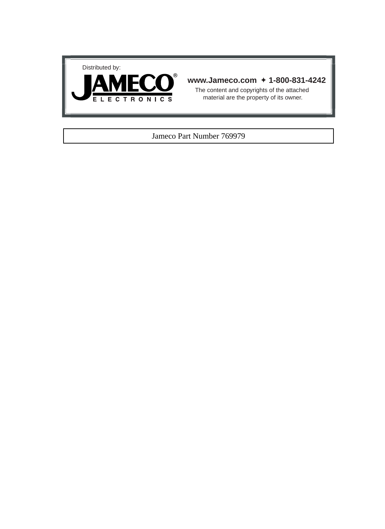



## **www.Jameco.com** ✦ **1-800-831-4242**

The content and copyrights of the attached material are the property of its owner.

### Jameco Part Number 769979